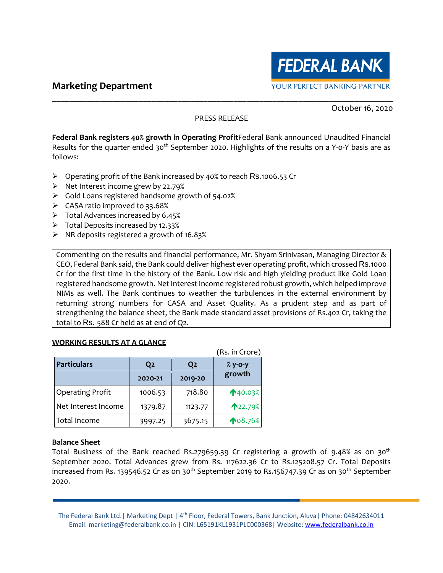# **Marketing Department**



October 16, 2020

#### PRESS RELEASE

\_\_\_\_\_\_\_\_\_\_\_\_\_\_\_\_\_\_\_\_\_\_\_\_\_\_\_\_\_\_\_\_\_\_\_\_\_\_\_\_\_\_\_\_\_\_\_\_\_\_\_\_\_\_\_\_\_\_\_\_\_\_\_\_\_\_\_\_\_\_\_\_\_\_\_\_\_\_\_

**Federal Bank registers 40% growth in Operating Profit**Federal Bank announced Unaudited Financial Results for the quarter ended 30<sup>th</sup> September 2020. Highlights of the results on a Y-o-Y basis are as follows:

- ➢ Operating profit of the Bank increased by 40% to reach Rs.1006.53 Cr
- ➢ Net Interest income grew by 22.79%
- ➢ Gold Loans registered handsome growth of 54.02%
- $\triangleright$  CASA ratio improved to 33.68%
- $\triangleright$  Total Advances increased by 6.45%
- $\triangleright$  Total Deposits increased by 12.33%
- ➢ NR deposits registered a growth of 16.83%

Commenting on the results and financial performance, Mr. Shyam Srinivasan, Managing Director & CEO, Federal Bank said, the Bank could deliver highest ever operating profit, which crossed Rs.1000 Cr for the first time in the history of the Bank. Low risk and high yielding product like Gold Loan registered handsome growth. Net Interest Income registered robust growth, which helped improve NIMs as well. The Bank continues to weather the turbulences in the external environment by returning strong numbers for CASA and Asset Quality. As a prudent step and as part of strengthening the balance sheet, the Bank made standard asset provisions of Rs.402 Cr, taking the total to Rs. 588 Cr held as at end of Q2.

#### **WORKING RESULTS AT A GLANCE**

|                         |                |                | (Rs. in Crore) |
|-------------------------|----------------|----------------|----------------|
| <b>Particulars</b>      | Q <sub>2</sub> | Q <sub>2</sub> | $%$ y-o-y      |
|                         | 2020-21        | 2019-20        | growth         |
| <b>Operating Profit</b> | 1006.53        | 718.80         | 140.03%        |
| Net Interest Income     | 1379.87        | 1123.77        | ↑22.79%        |
| Total Income            | 3997.25        | 3675.15        | <b>108.76%</b> |

#### **Balance Sheet**

Total Business of the Bank reached Rs.279659.39 Cr registering a growth of 9.48% as on 30<sup>th</sup> September 2020. Total Advances grew from Rs. 117622.36 Cr to Rs.125208.57 Cr. Total Deposits increased from Rs. 139546.52 Cr as on 30<sup>th</sup> September 2019 to Rs.156747.39 Cr as on 30<sup>th</sup> September 2020.

The Federal Bank Ltd. | Marketing Dept | 4<sup>th</sup> Floor, Federal Towers, Bank Junction, Aluva | Phone: 04842634011 Email: marketing@federalbank.co.in | CIN: L65191KL1931PLC000368| Website: [www.federalbank.co.in](http://www.federalbank.co.in/)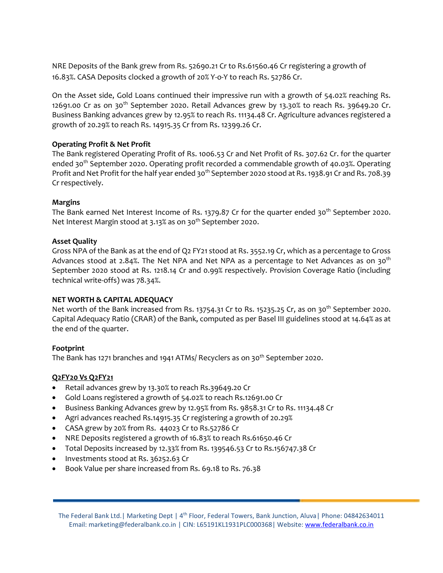NRE Deposits of the Bank grew from Rs. 52690.21 Cr to Rs.61560.46 Cr registering a growth of 16.83%. CASA Deposits clocked a growth of 20% Y-o-Y to reach Rs. 52786 Cr.

On the Asset side, Gold Loans continued their impressive run with a growth of 54.02% reaching Rs. 12691.00 Cr as on  $30<sup>th</sup>$  September 2020. Retail Advances grew by 13.30% to reach Rs. 39649.20 Cr. Business Banking advances grew by 12.95% to reach Rs. 11134.48 Cr. Agriculture advances registered a growth of 20.29% to reach Rs. 14915.35 Cr from Rs. 12399.26 Cr.

### **Operating Profit & Net Profit**

The Bank registered Operating Profit of Rs. 1006.53 Cr and Net Profit of Rs. 307.62 Cr. for the quarter ended 30<sup>th</sup> September 2020. Operating profit recorded a commendable growth of 40.03%. Operating Profit and Net Profit for the half year ended 30<sup>th</sup> September 2020 stood at Rs. 1938.91 Cr and Rs. 708.39 Cr respectively.

### **Margins**

The Bank earned Net Interest Income of Rs. 1379.87 Cr for the quarter ended 30<sup>th</sup> September 2020. Net Interest Margin stood at 3.13% as on 30<sup>th</sup> September 2020.

#### **Asset Quality**

Gross NPA of the Bank as at the end of Q2 FY21 stood at Rs. 3552.19 Cr, which as a percentage to Gross Advances stood at 2.84%. The Net NPA and Net NPA as a percentage to Net Advances as on 30<sup>th</sup> September 2020 stood at Rs. 1218.14 Cr and 0.99% respectively. Provision Coverage Ratio (including technical write-offs) was 78.34%.

#### **NET WORTH & CAPITAL ADEQUACY**

Net worth of the Bank increased from Rs. 13754.31 Cr to Rs. 15235.25 Cr, as on 30<sup>th</sup> September 2020. Capital Adequacy Ratio (CRAR) of the Bank, computed as per Basel III guidelines stood at 14.64% as at the end of the quarter.

#### **Footprint**

The Bank has 1271 branches and 1941 ATMs/ Recyclers as on 30<sup>th</sup> September 2020.

## **Q2FY20 Vs Q2FY21**

- Retail advances grew by 13.30% to reach Rs.39649.20 Cr
- Gold Loans registered a growth of 54.02% to reach Rs.12691.00 Cr
- Business Banking Advances grew by 12.95% from Rs. 9858.31 Cr to Rs. 11134.48 Cr
- Agri advances reached Rs.14915.35 Cr registering a growth of 20.29%
- CASA grew by 20% from Rs. 44023 Cr to Rs.52786 Cr
- NRE Deposits registered a growth of 16.83% to reach Rs.61650.46 Cr
- Total Deposits increased by 12.33% from Rs. 139546.53 Cr to Rs.156747.38 Cr
- Investments stood at Rs. 36252.63 Cr
- Book Value per share increased from Rs. 69.18 to Rs. 76.38